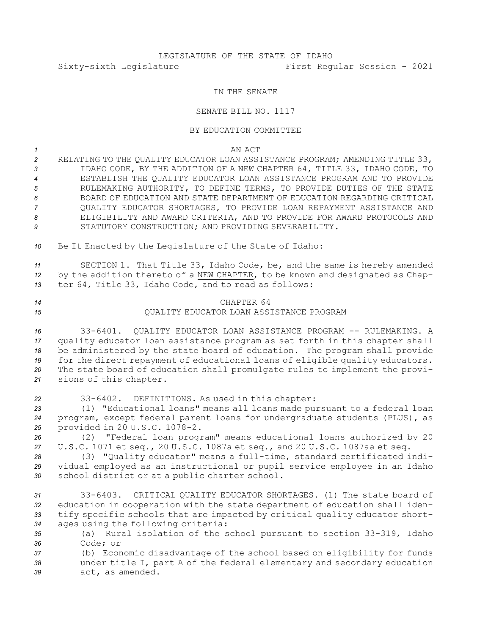# LEGISLATURE OF THE STATE OF IDAHO Sixty-sixth Legislature First Regular Session - 2021

### IN THE SENATE

#### SENATE BILL NO. 1117

#### BY EDUCATION COMMITTEE

*1* AN ACT

 RELATING TO THE QUALITY EDUCATOR LOAN ASSISTANCE PROGRAM; AMENDING TITLE 33, IDAHO CODE, BY THE ADDITION OF A NEW CHAPTER 64, TITLE 33, IDAHO CODE, TO ESTABLISH THE QUALITY EDUCATOR LOAN ASSISTANCE PROGRAM AND TO PROVIDE RULEMAKING AUTHORITY, TO DEFINE TERMS, TO PROVIDE DUTIES OF THE STATE BOARD OF EDUCATION AND STATE DEPARTMENT OF EDUCATION REGARDING CRITICAL QUALITY EDUCATOR SHORTAGES, TO PROVIDE LOAN REPAYMENT ASSISTANCE AND ELIGIBILITY AND AWARD CRITERIA, AND TO PROVIDE FOR AWARD PROTOCOLS AND 9 STATUTORY CONSTRUCTION; AND PROVIDING SEVERABILITY.

*<sup>10</sup>* Be It Enacted by the Legislature of the State of Idaho:

*<sup>11</sup>* SECTION 1. That Title 33, Idaho Code, be, and the same is hereby amended *<sup>12</sup>* by the addition thereto of <sup>a</sup> NEW CHAPTER, to be known and designated as Chap-*<sup>13</sup>* ter 64, Title 33, Idaho Code, and to read as follows:

## *14* CHAPTER 64 *15* QUALITY EDUCATOR LOAN ASSISTANCE PROGRAM

 33-6401. QUALITY EDUCATOR LOAN ASSISTANCE PROGRAM -- RULEMAKING. A quality educator loan assistance program as set forth in this chapter shall be administered by the state board of education. The program shall provide for the direct repayment of educational loans of eligible quality educators. The state board of education shall promulgate rules to implement the provi-sions of this chapter.

 33-6402. DEFINITIONS. As used in this chapter: (1) "Educational loans" means all loans made pursuant to <sup>a</sup> federal loan program, except federal parent loans for undergraduate students (PLUS), as provided in 20 U.S.C. 1078-2.

*<sup>26</sup>* (2) "Federal loan program" means educational loans authorized by 20 *<sup>27</sup>* U.S.C. 1071 et seq., 20 U.S.C. 1087a et seq., and 20 U.S.C. 1087aa et seq.

*<sup>28</sup>* (3) "Quality educator" means <sup>a</sup> full-time, standard certificated indi-*<sup>29</sup>* vidual employed as an instructional or pupil service employee in an Idaho *<sup>30</sup>* school district or at <sup>a</sup> public charter school.

 33-6403. CRITICAL QUALITY EDUCATOR SHORTAGES. (1) The state board of education in cooperation with the state department of education shall iden- tify specific schools that are impacted by critical quality educator short-ages using the following criteria:

*<sup>35</sup>* (a) Rural isolation of the school pursuant to section 33-319, Idaho *36* Code; or

*<sup>37</sup>* (b) Economic disadvantage of the school based on eligibility for funds *<sup>38</sup>* under title I, part <sup>A</sup> of the federal elementary and secondary education *39* act, as amended.